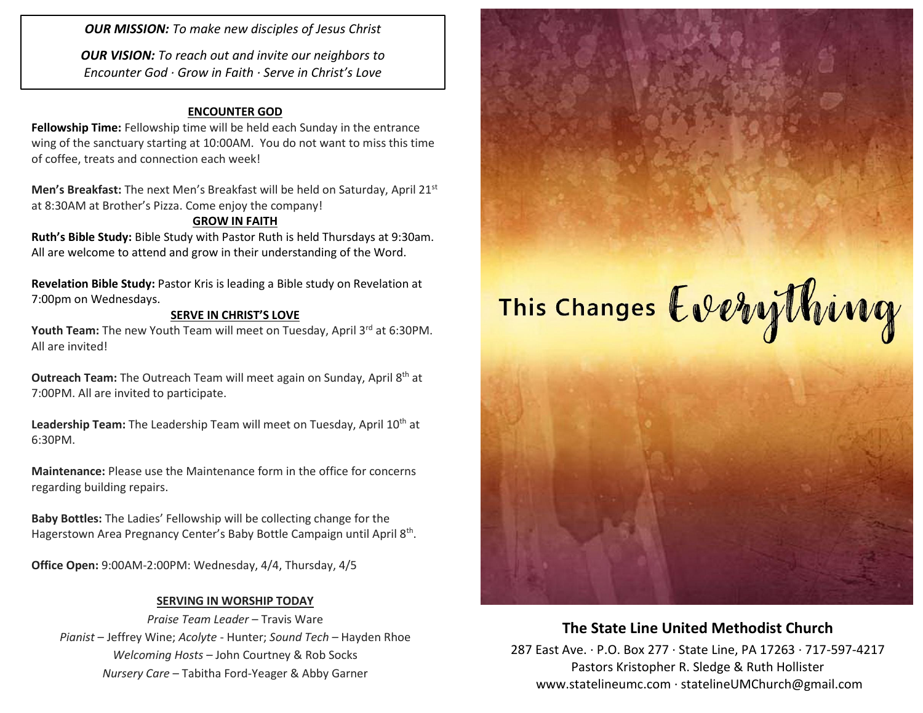*OUR MISSION: To make new disciples of Jesus Christ*

*OUR VISION: To reach out and invite our neighbors to Encounter God · Grow in Faith · Serve in Christ's Love*

#### **ENCOUNTER GOD**

**Fellowship Time:** Fellowship time will be held each Sunday in the entrance wing of the sanctuary starting at 10:00AM. You do not want to miss this time of coffee, treats and connection each week!

**Men's Breakfast:** The next Men's Breakfast will be held on Saturday, April 21st at 8:30AM at Brother's Pizza. Come enjoy the company!

#### **GROW IN FAITH**

**Ruth's Bible Study:** Bible Study with Pastor Ruth is held Thursdays at 9:30am. All are welcome to attend and grow in their understanding of the Word.

**Revelation Bible Study:** Pastor Kris is leading a Bible study on Revelation at 7:00pm on Wednesdays.

#### **SERVE IN CHRIST'S LOVE**

Youth Team: The new Youth Team will meet on Tuesday, April 3<sup>rd</sup> at 6:30PM. All are invited!

**Outreach Team:** The Outreach Team will meet again on Sunday, April 8<sup>th</sup> at 7:00PM. All are invited to participate.

Leadership Team: The Leadership Team will meet on Tuesday, April 10<sup>th</sup> at 6:30PM.

**Maintenance:** Please use the Maintenance form in the office for concerns regarding building repairs.

**Baby Bottles:** The Ladies' Fellowship will be collecting change for the Hagerstown Area Pregnancy Center's Baby Bottle Campaign until April 8<sup>th</sup>.

**Office Open:** 9:00AM-2:00PM: Wednesday, 4/4, Thursday, 4/5

#### **SERVING IN WORSHIP TODAY**

*Praise Team Leader* – Travis Ware *Pianist* – Jeffrey Wine; *Acolyte* - Hunter; *Sound Tech* – Hayden Rhoe *Welcoming Hosts* – John Courtney & Rob Socks *Nursery Care* – Tabitha Ford-Yeager & Abby Garner



### **The State Line United Methodist Church**

287 East Ave. · P.O. Box 277 · State Line, PA 17263 · 717-597-4217 Pastors Kristopher R. Sledge & Ruth Hollister [www.statelineumc.com](http://www.statelineumc.com/) · statelineUMChurch@gmail.com